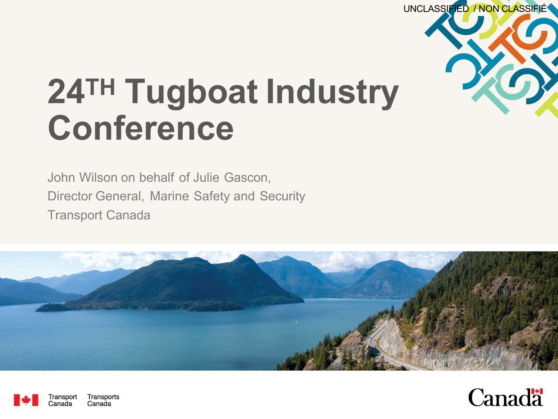

# **24TH Tugboat Industry Conference**

John Wilson on behalf of Julie Gascon, Director General, Marine Safety and Security Transport Canada





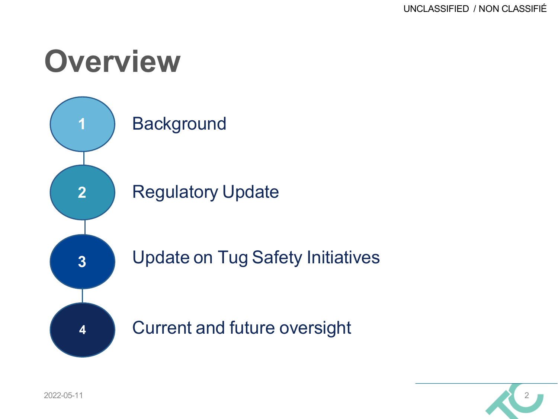#### **Overview**



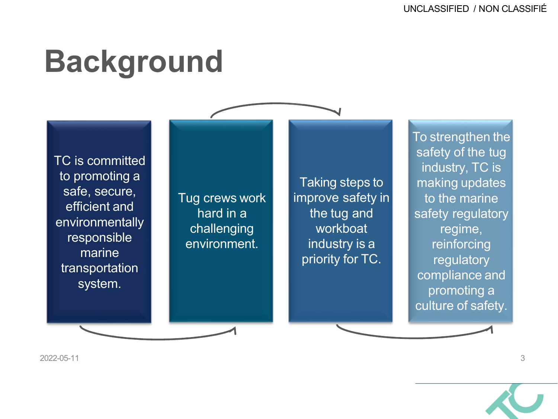#### **Background**

TC is committed to promoting a safe, secure, efficient and environmentally responsible marine transportation system.

Tug crews work hard in a challenging environment.

Taking steps to improve safety in the tug and workboat industry is a priority for TC.

To strengthen the safety of the tug industry, TC is making updates to the marine safety regulatory regime, reinforcing regulatory compliance and promoting a culture of safety.

2022-05-11 3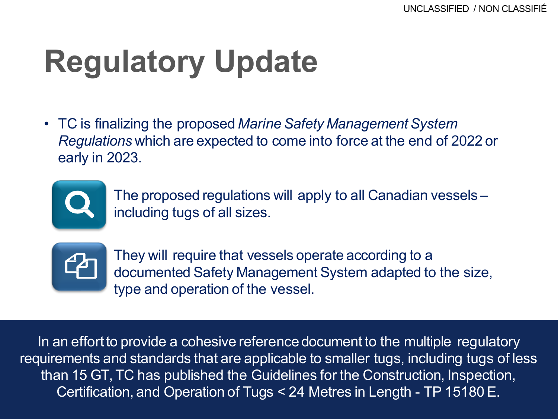# **Regulatory Update**

• TC is finalizing the proposed *Marine Safety Management System Regulations* which are expected to come into force at the end of 2022 or early in 2023.



• The proposed regulations will apply to all Canadian vessels – including tugs of all sizes.



• They will require that vessels operate according to a documented Safety Management System adapted to the size, type and operation of the vessel.

Certification, and Operation of Tugs < 24 Metres in Length - TP 15180 E. In an effort to provide a cohesive reference document to the multiple regulatory requirements and standards that are applicable to smaller tugs, including tugs of less than 15 GT, TC has published the Guidelines for the Construction, Inspection,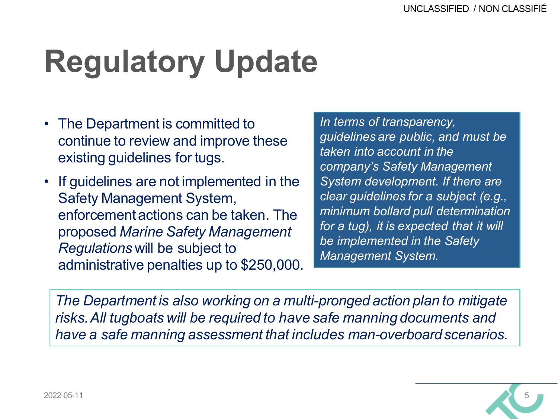# **Regulatory Update**

- The Department is committed to continue to review and improve these existing guidelines for tugs.
- If guidelines are not implemented in the Safety Management System, enforcement actions can be taken. The proposed *Marine Safety Management Regulations* will be subject to administrative penalties up to \$250,000.

*In terms of transparency, guidelines are public, and must be taken into account in the company's Safety Management System development. If there are clear guidelines for a subject (e.g., minimum bollard pull determination for a tug), it is expected that it will be implemented in the Safety Management System.*

*The Department is also working on a multi-pronged action plan to mitigate risks.All tugboats will be required to have safe manning documents and have a safe manning assessment that includes man-overboardscenarios.*

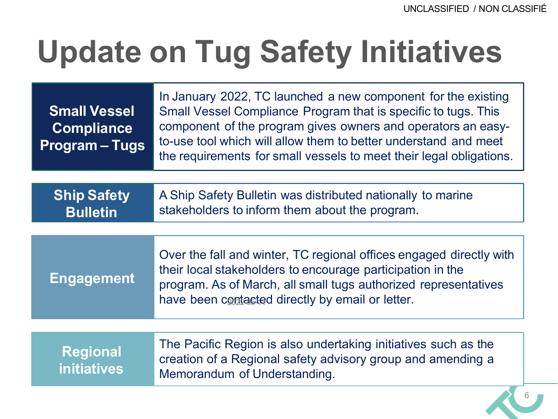### **Update on Tug Safety Initiatives**

| <b>Small Vessel</b><br><b>Compliance</b><br><b>Program - Tugs</b> | In January 2022, TC launched a new component for the existing<br>Small Vessel Compliance Program that is specific to tugs. This<br>component of the program gives owners and operators an easy-<br>to-use tool which will allow them to better understand and meet<br>the requirements for small vessels to meet their legal obligations. |
|-------------------------------------------------------------------|-------------------------------------------------------------------------------------------------------------------------------------------------------------------------------------------------------------------------------------------------------------------------------------------------------------------------------------------|
| <b>Ship Safety</b><br><b>Bulletin</b>                             | A Ship Safety Bulletin was distributed nationally to marine<br>stakeholders to inform them about the program.                                                                                                                                                                                                                             |
| <b>Engagement</b>                                                 | Over the fall and winter, TC regional offices engaged directly with<br>their local stakeholders to encourage participation in the<br>program. As of March, all small tugs authorized representatives<br>have been contacted directly by email or letter.                                                                                  |
|                                                                   |                                                                                                                                                                                                                                                                                                                                           |
| <b>Regional</b><br><b>initiatives</b>                             | The Pacific Region is also undertaking initiatives such as the<br>creation of a Regional safety advisory group and amending a<br>Memorandum of Understanding.                                                                                                                                                                             |
|                                                                   |                                                                                                                                                                                                                                                                                                                                           |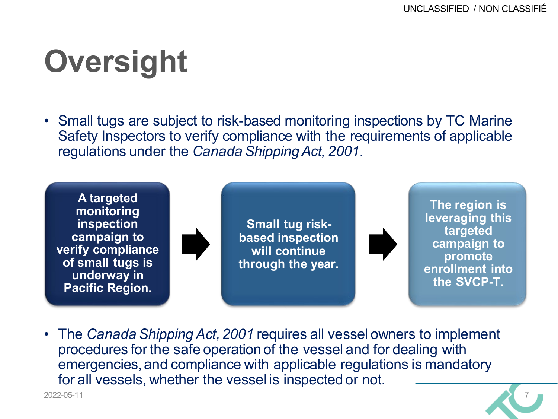## **Oversight**

• Small tugs are subject to risk-based monitoring inspections by TC Marine Safety Inspectors to verify compliance with the requirements of applicable regulations under the *CanadaShippingAct, 2001*.



• The *Canada Shipping Act, 2001* requires all vessel owners to implement procedures for the safe operationof the vessel and for dealing with emergencies,and compliance with applicable regulations is mandatory for all vessels, whether the vessel is inspected or not. 2022-05-11 7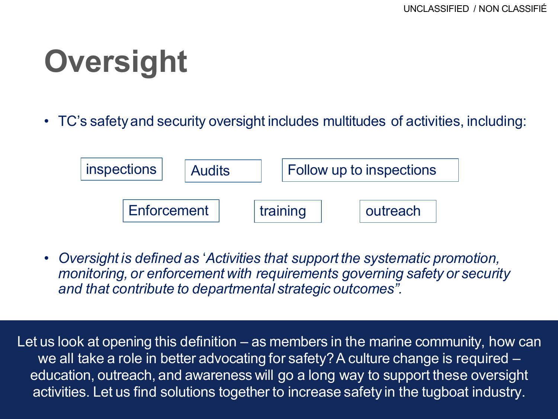# **Oversight**

• TC's safety and security oversight includes multitudes of activities, including:



• *Oversight is defined as* '*Activities that support the systematic promotion, monitoring, or enforcement with requirements governing safety or security and that contribute to departmental strategic outcomes".*

activities. Let us find solutions together to increase safety in the tugboat industry. Let us look at opening this definition – as members in the marine community, how can we all take a role in better advocating for safety? A culture change is required – education, outreach, and awareness will go a long way to support these oversight